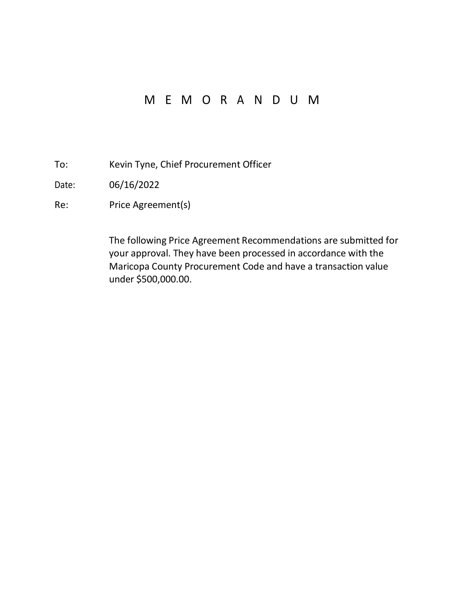# M E M O R A N D U M

- To: Kevin Tyne, Chief Procurement Officer
- Date: 06/16/2022
- Re: Price Agreement(s)

The following Price Agreement Recommendations are submitted for your approval. They have been processed in accordance with the Maricopa County Procurement Code and have a transaction value under \$500,000.00.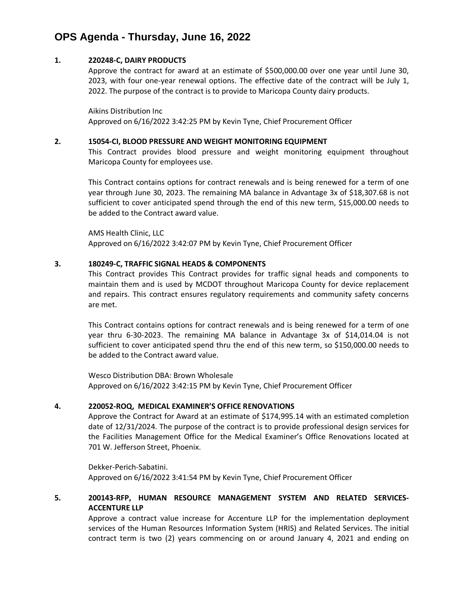## **OPS Agenda - Thursday, June 16, 2022**

### **1. 220248-C, DAIRY PRODUCTS**

Approve the contract for award at an estimate of \$500,000.00 over one year until June 30, 2023, with four one-year renewal options. The effective date of the contract will be July 1, 2022. The purpose of the contract is to provide to Maricopa County dairy products.

Aikins Distribution Inc Approved on 6/16/2022 3:42:25 PM by Kevin Tyne, Chief Procurement Officer

#### **2. 15054-CI, BLOOD PRESSURE AND WEIGHT MONITORING EQUIPMENT**

This Contract provides blood pressure and weight monitoring equipment throughout Maricopa County for employees use.

This Contract contains options for contract renewals and is being renewed for a term of one year through June 30, 2023. The remaining MA balance in Advantage 3x of \$18,307.68 is not sufficient to cover anticipated spend through the end of this new term, \$15,000.00 needs to be added to the Contract award value.

AMS Health Clinic, LLC Approved on 6/16/2022 3:42:07 PM by Kevin Tyne, Chief Procurement Officer

#### **3. 180249-C, TRAFFIC SIGNAL HEADS & COMPONENTS**

This Contract provides This Contract provides for traffic signal heads and components to maintain them and is used by MCDOT throughout Maricopa County for device replacement and repairs. This contract ensures regulatory requirements and community safety concerns are met.

This Contract contains options for contract renewals and is being renewed for a term of one year thru 6-30-2023. The remaining MA balance in Advantage 3x of \$14,014.04 is not sufficient to cover anticipated spend thru the end of this new term, so \$150,000.00 needs to be added to the Contract award value.

Wesco Distribution DBA: Brown Wholesale Approved on 6/16/2022 3:42:15 PM by Kevin Tyne, Chief Procurement Officer

#### **4. 220052-ROQ, MEDICAL EXAMINER'S OFFICE RENOVATIONS**

Approve the Contract for Award at an estimate of \$174,995.14 with an estimated completion date of 12/31/2024. The purpose of the contract is to provide professional design services for the Facilities Management Office for the Medical Examiner's Office Renovations located at 701 W. Jefferson Street, Phoenix.

Dekker-Perich-Sabatini. Approved on 6/16/2022 3:41:54 PM by Kevin Tyne, Chief Procurement Officer

### **5. 200143-RFP, HUMAN RESOURCE MANAGEMENT SYSTEM AND RELATED SERVICES-ACCENTURE LLP**

Approve a contract value increase for Accenture LLP for the implementation deployment services of the Human Resources Information System (HRIS) and Related Services. The initial contract term is two (2) years commencing on or around January 4, 2021 and ending on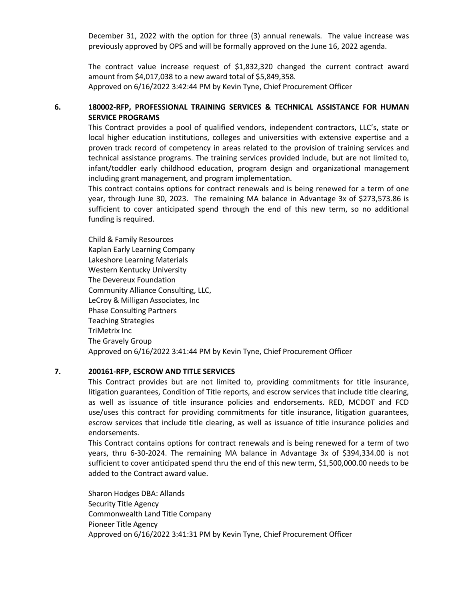December 31, 2022 with the option for three (3) annual renewals. The value increase was previously approved by OPS and will be formally approved on the June 16, 2022 agenda.

The contract value increase request of \$1,832,320 changed the current contract award amount from \$4,017,038 to a new award total of \$5,849,358. Approved on 6/16/2022 3:42:44 PM by Kevin Tyne, Chief Procurement Officer

## **6. 180002-RFP, PROFESSIONAL TRAINING SERVICES & TECHNICAL ASSISTANCE FOR HUMAN SERVICE PROGRAMS**

This Contract provides a pool of qualified vendors, independent contractors, LLC's, state or local higher education institutions, colleges and universities with extensive expertise and a proven track record of competency in areas related to the provision of training services and technical assistance programs. The training services provided include, but are not limited to, infant/toddler early childhood education, program design and organizational management including grant management, and program implementation.

This contract contains options for contract renewals and is being renewed for a term of one year, through June 30, 2023. The remaining MA balance in Advantage 3x of \$273,573.86 is sufficient to cover anticipated spend through the end of this new term, so no additional funding is required.

Child & Family Resources Kaplan Early Learning Company Lakeshore Learning Materials Western Kentucky University The Devereux Foundation Community Alliance Consulting, LLC, LeCroy & Milligan Associates, Inc Phase Consulting Partners Teaching Strategies TriMetrix Inc The Gravely Group Approved on 6/16/2022 3:41:44 PM by Kevin Tyne, Chief Procurement Officer

#### **7. 200161-RFP, ESCROW AND TITLE SERVICES**

This Contract provides but are not limited to, providing commitments for title insurance, litigation guarantees, Condition of Title reports, and escrow services that include title clearing, as well as issuance of title insurance policies and endorsements. RED, MCDOT and FCD use/uses this contract for providing commitments for title insurance, litigation guarantees, escrow services that include title clearing, as well as issuance of title insurance policies and endorsements.

This Contract contains options for contract renewals and is being renewed for a term of two years, thru 6-30-2024. The remaining MA balance in Advantage 3x of \$394,334.00 is not sufficient to cover anticipated spend thru the end of this new term, \$1,500,000.00 needs to be added to the Contract award value.

Sharon Hodges DBA: Allands Security Title Agency Commonwealth Land Title Company Pioneer Title Agency Approved on 6/16/2022 3:41:31 PM by Kevin Tyne, Chief Procurement Officer